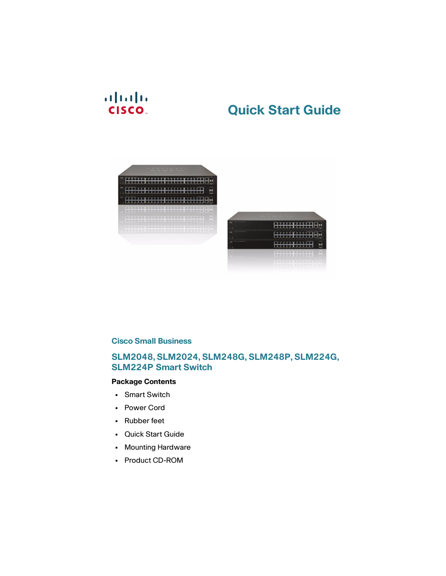## $(1)$  $(1)$  $(1)$ **CISCO**

# **Quick Start Guide**





#### **Cisco Small Business**

#### **SLM2048, SLM2024, SLM248G, SLM248P, SLM224G, SLM224P Smart Switch**

#### **Package Contents**

- **•** Smart Switch
- **•** Power Cord
- **•** Rubber feet
- **•** Quick Start Guide
- **•** Mounting Hardware
- **•** Product CD-ROM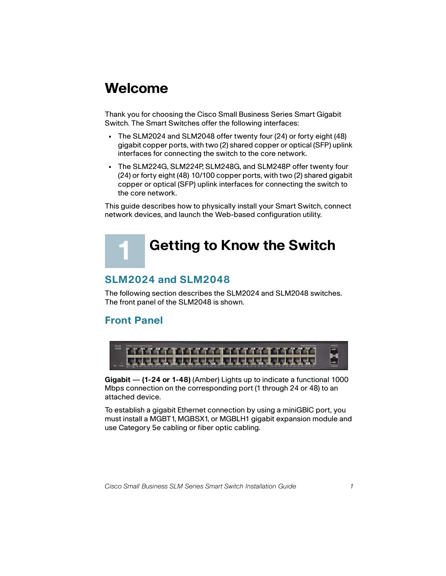# **Welcome**

Thank you for choosing the Cisco Small Business Series Smart Gigabit Switch. The Smart Switches offer the following interfaces:

- **•** The SLM2024 and SLM2048 offer twenty four (24) or forty eight (48) gigabit copper ports, with two (2) shared copper or optical (SFP) uplink interfaces for connecting the switch to the core network.
- **•** The SLM224G, SLM224P, SLM248G, and SLM248P offer twenty four (24) or forty eight (48) 10/100 copper ports, with two (2) shared gigabit copper or optical (SFP) uplink interfaces for connecting the switch to the core network.

This guide describes how to physically install your Smart Switch, connect network devices, and launch the Web-based configuration utility.

# **Getting to Know the Switch**

## **SLM2024 and SLM2048**

The following section describes the SLM2024 and SLM2048 switches. The front panel of the SLM2048 is shown.

## **Front Panel**

<span id="page-1-0"></span>**1**



**Gigabit** — **(1-24 or 1-48)** (Amber) Lights up to indicate a functional 1000 Mbps connection on the corresponding port (1 through 24 or 48) to an attached device.

To establish a gigabit Ethernet connection by using a miniGBIC port, you must install a MGBT1, MGBSX1, or MGBLH1 gigabit expansion module and use Category 5e cabling or fiber optic cabling.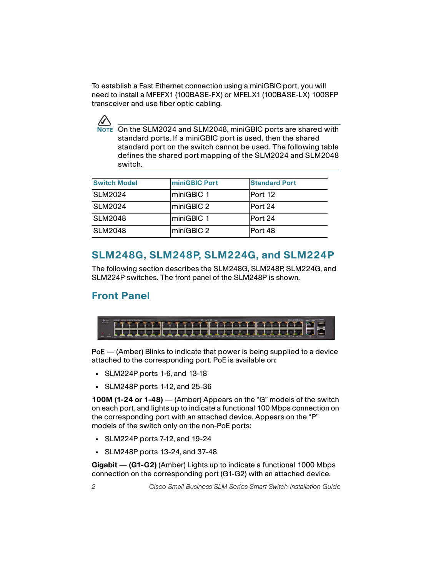To establish a Fast Ethernet connection using a miniGBIC port, you will need to install a MFEFX1 (100BASE-FX) or MFELX1 (100BASE-LX) 100SFP transceiver and use fiber optic cabling.



**AUTEM** On the SLM2024 and SLM2048, miniGBIC ports are shared with standard ports. If a miniGBIC port is used, then the shared standard port on the switch cannot be used. The following table defines the shared port mapping of the SLM2024 and SLM2048 switch.

| <b>Switch Model</b> | miniGBIC Port | <b>Standard Port</b> |
|---------------------|---------------|----------------------|
| <b>SLM2024</b>      | miniGBIC 1    | Port 12              |
| SLM2024             | miniGBIC 2    | Port 24              |
| <b>SLM2048</b>      | miniGBIC 1    | Port 24              |
| <b>SLM2048</b>      | miniGBIC 2    | Port 48              |

## **SLM248G, SLM248P, SLM224G, and SLM224P**

The following section describes the SLM248G, SLM248P, SLM224G, and SLM224P switches. The front panel of the SLM248P is shown.

## **Front Panel**



PoE – (Amber) Blinks to indicate that power is being supplied to a device attached to the corresponding port. PoE is available on:

- **•** SLM224P ports 1-6, and 13-18
- **•** SLM248P ports 1-12, and 25-36

**100M (1-24 or 1-48)** — (Amber) Appears on the "G" models of the switch on each port, and lights up to indicate a functional 100 Mbps connection on the corresponding port with an attached device. Appears on the "P" models of the switch only on the non-PoE ports:

- **•** SLM224P ports 7-12, and 19-24
- **•** SLM248P ports 13-24, and 37-48

**Gigabit** — **(G1-G2)** (Amber) Lights up to indicate a functional 1000 Mbps connection on the corresponding port (G1-G2) with an attached device.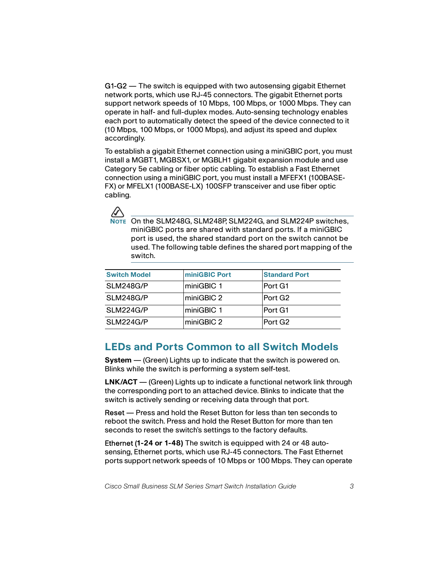G1-G2 — The switch is equipped with two autosensing gigabit Ethernet network ports, which use RJ-45 connectors. The gigabit Ethernet ports support network speeds of 10 Mbps, 100 Mbps, or 1000 Mbps. They can operate in half- and full-duplex modes. Auto-sensing technology enables each port to automatically detect the speed of the device connected to it (10 Mbps, 100 Mbps, or 1000 Mbps), and adjust its speed and duplex accordingly.

To establish a gigabit Ethernet connection using a miniGBIC port, you must install a MGBT1, MGBSX1, or MGBLH1 gigabit expansion module and use Category 5e cabling or fiber optic cabling. To establish a Fast Ethernet connection using a miniGBIC port, you must install a MFEFX1 (100BASE-FX) or MFELX1 (100BASE-LX) 100SFP transceiver and use fiber optic cabling.



**NOTE** On the SLM248G, SLM248P, SLM224G, and SLM224P switches, miniGBIC ports are shared with standard ports. If a miniGBIC port is used, the shared standard port on the switch cannot be used. The following table defines the shared port mapping of the switch.

| <b>Switch Model</b> | <b>miniGBIC Port</b> | <b>Standard Port</b> |
|---------------------|----------------------|----------------------|
| SLM248G/P           | ∣miniGBIC 1          | Port G1              |
| SLM248G/P           | miniGBIC 2           | Port G <sub>2</sub>  |
| SLM224G/P           | miniGBIC 1           | Port G1              |
| SLM224G/P           | miniGBIC 2           | Port G <sub>2</sub>  |

## **LEDs and Ports Common to all Switch Models**

**System —** (Green) Lights up to indicate that the switch is powered on. Blinks while the switch is performing a system self-test.

**LNK/ACT** — (Green) Lights up to indicate a functional network link through the corresponding port to an attached device. Blinks to indicate that the switch is actively sending or receiving data through that port.

Reset – Press and hold the Reset Button for less than ten seconds to reboot the switch. Press and hold the Reset Button for more than ten seconds to reset the switch's settings to the factory defaults.

Ethernet (**1-24 or 1-48)** The switch is equipped with 24 or 48 autosensing, Ethernet ports, which use RJ-45 connectors. The Fast Ethernet ports support network speeds of 10 Mbps or 100 Mbps. They can operate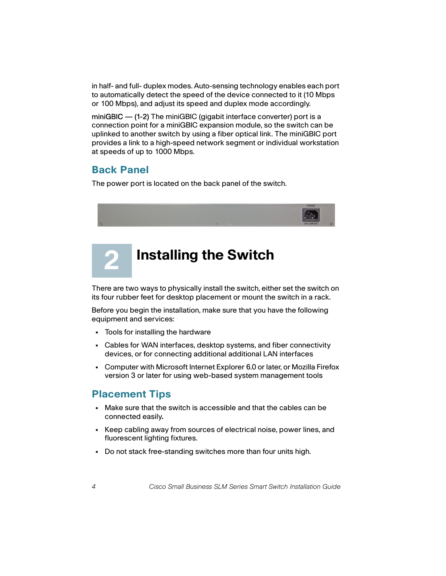in half- and full- duplex modes. Auto-sensing technology enables each port to automatically detect the speed of the device connected to it (10 Mbps or 100 Mbps), and adjust its speed and duplex mode accordingly.

miniGBIC — (1-2) The miniGBIC (gigabit interface converter) port is a connection point for a miniGBIC expansion module, so the switch can be uplinked to another switch by using a fiber optical link. The miniGBIC port provides a link to a high-speed network segment or individual workstation at speeds of up to 1000 Mbps.

## **Back Panel**

The power port is located on the back panel of the switch.



## **Installing the Switch 2**

There are two ways to physically install the switch, either set the switch on its four rubber feet for desktop placement or mount the switch in a rack.

Before you begin the installation, make sure that you have the following equipment and services:

- **•** Tools for installing the hardware
- **•** Cables for WAN interfaces, desktop systems, and fiber connectivity devices, or for connecting additional additional LAN interfaces
- **•** Computer with Microsoft Internet Explorer 6.0 or later, or Mozilla Firefox version 3 or later for using web-based system management tools

## **Placement Tips**

- **•** Make sure that the switch is accessible and that the cables can be connected easily**.**
- **•** Keep cabling away from sources of electrical noise, power lines, and fluorescent lighting fixtures.
- **•** Do not stack free-standing switches more than four units high.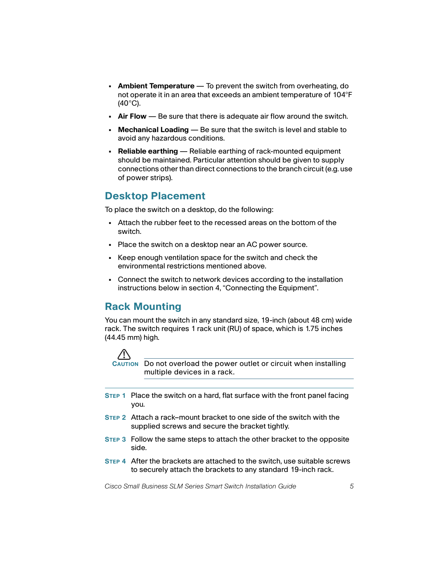- **Ambient Temperature**  To prevent the switch from overheating, do not operate it in an area that exceeds an ambient temperature of 104°F (40°C).
- **Air Flow**  Be sure that there is adequate air flow around the switch.
- **Mechanical Loading**  Be sure that the switch is level and stable to avoid any hazardous conditions.
- **Reliable earthing**  Reliable earthing of rack-mounted equipment should be maintained. Particular attention should be given to supply connections other than direct connections to the branch circuit (e.g. use of power strips).

## **Desktop Placement**

To place the switch on a desktop, do the following:

- **•** Attach the rubber feet to the recessed areas on the bottom of the switch.
- **•** Place the switch on a desktop near an AC power source.
- **•** Keep enough ventilation space for the switch and check the environmental restrictions mentioned above.
- **•** Connect the switch to network devices according to the installation instructions below in section 4, "Connecting the Equipment".

## **Rack Mounting**

You can mount the switch in any standard size, 19-inch (about 48 cm) wide rack. The switch requires 1 rack unit (RU) of space, which is 1.75 inches (44.45 mm) high.



**CAUTION** Do not overload the power outlet or circuit when installing multiple devices in a rack.

- **STEP 1** Place the switch on a hard, flat surface with the front panel facing you.
- **STEP 2** Attach a rack–mount bracket to one side of the switch with the supplied screws and secure the bracket tightly.
- **STEP 3** Follow the same steps to attach the other bracket to the opposite side.
- **STEP 4** After the brackets are attached to the switch, use suitable screws to securely attach the brackets to any standard 19-inch rack.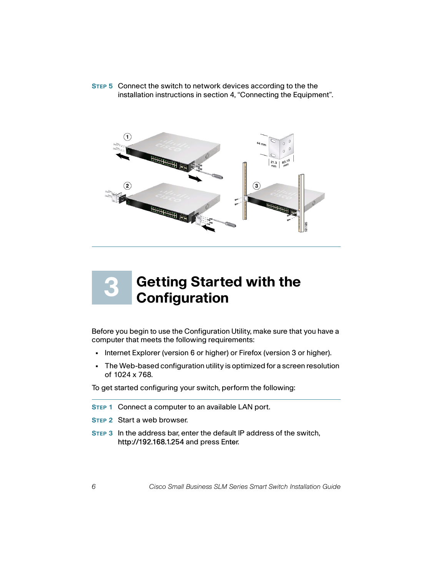**STEP 5** Connect the switch to network devices according to the the installation instructions in section 4, "Connecting the Equipment".



## **Getting Started with the Configuration 3**

Before you begin to use the Configuration Utility, make sure that you have a computer that meets the following requirements:

- **•** Internet Explorer (version 6 or higher) or Firefox (version 3 or higher).
- **•** The Web-based configuration utility is optimized for a screen resolution of 1024 x 768.

To get started configuring your switch, perform the following:

- **STEP 1** Connect a computer to an available LAN port.
- **STEP 2** Start a web browser.
- **STEP 3** In the address bar, enter the default IP address of the switch, http://192.168.1.254 and press Enter.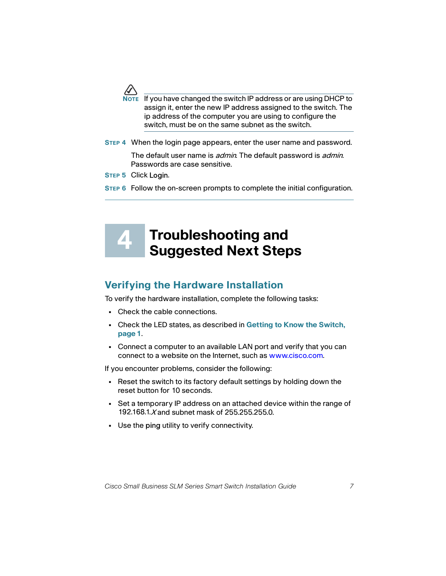

If you have changed the switch IP address or are using DHCP to assign it, enter the new IP address assigned to the switch. The ip address of the computer you are using to configure the switch, must be on the same subnet as the switch.

**STEP 4** When the login page appears, enter the user name and password.

The default user name is *admin*. The default password is *admin*. Passwords are case sensitive.

**STEP 5** Click Login.

**4**

**STEP 6** Follow the on-screen prompts to complete the initial configuration.

# **Troubleshooting and Suggested Next Steps**

## **Verifying the Hardware Installation**

To verify the hardware installation, complete the following tasks:

- **•** Check the cable connections.
- **•** Check the LED states, as described in **[Getting to Know the Switch,](#page-1-0)  [page 1](#page-1-0)**.
- **•** Connect a computer to an available LAN port and verify that you can connect to a website on the Internet, such as www.cisco.com.

If you encounter problems, consider the following:

- **•** Reset the switch to its factory default settings by holding down the reset button for 10 seconds.
- **•** Set a temporary IP address on an attached device within the range of 192.168.1.*X* and subnet mask of 255.255.255.0.
- **•** Use the ping utility to verify connectivity.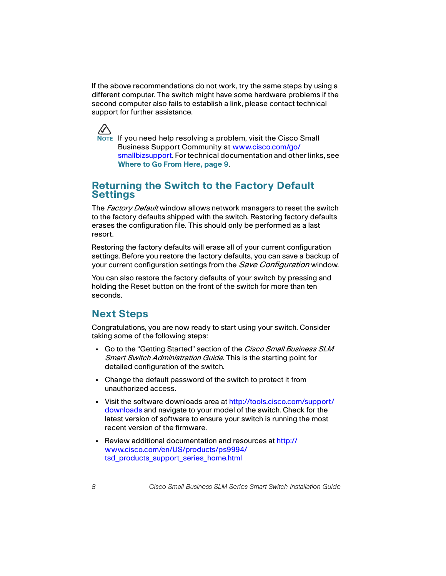If the above recommendations do not work, try the same steps by using a different computer. The switch might have some hardware problems if the second computer also fails to establish a link, please contact technical support for further assistance.



**NOTE** If you need help resolving a problem, visit the Cisco Small Business Support Community at [www.cisco.com/go/](http://www.cisco.com/go/smallbizsupport) [smallbizsupport](http://www.cisco.com/go/smallbizsupport). For technical documentation and other links, see **[Where to Go From Here, page 9](#page-9-0)**.

### **Returning the Switch to the Factory Default Settings**

The Factory Default window allows network managers to reset the switch to the factory defaults shipped with the switch. Restoring factory defaults erases the configuration file. This should only be performed as a last resort.

Restoring the factory defaults will erase all of your current configuration settings. Before you restore the factory defaults, you can save a backup of your current configuration settings from the *Save Configuration* window.

You can also restore the factory defaults of your switch by pressing and holding the Reset button on the front of the switch for more than ten seconds.

## **Next Steps**

Congratulations, you are now ready to start using your switch. Consider taking some of the following steps:

- **•** Go to the "Getting Started" section of the Cisco Small Business SLM Smart Switch Administration Guide. This is the starting point for detailed configuration of the switch.
- **•** Change the default password of the switch to protect it from unauthorized access.
- **•** Visit the software downloads area at http://tools.cisco.com/support/ downloads and navigate to your model of the switch. Check for the latest version of software to ensure your switch is running the most recent version of the firmware.
- **•** Review additional documentation and resources at http:// www.cisco.com/en/US/products/ps9994/ tsd\_products\_support\_series\_home.html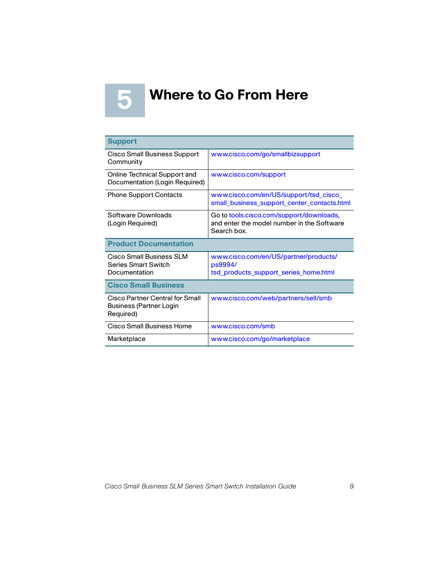<span id="page-9-0"></span>

# **Where to Go From Here 5**

| <b>Support</b>                                                                 |                                                                                                       |  |
|--------------------------------------------------------------------------------|-------------------------------------------------------------------------------------------------------|--|
| <b>Cisco Small Business Support</b><br>Community                               | www.cisco.com/go/smallbizsupport                                                                      |  |
| <b>Online Technical Support and</b><br>Documentation (Login Required)          | www.cisco.com/support                                                                                 |  |
| <b>Phone Support Contacts</b>                                                  | www.cisco.com/en/US/support/tsd_cisco_<br>small business support center contacts.html                 |  |
| Software Downloads<br>(Login Required)                                         | Go to tools.cisco.com/support/downloads.<br>and enter the model number in the Software<br>Search box. |  |
| <b>Product Documentation</b>                                                   |                                                                                                       |  |
| Cisco Small Business SLM<br><b>Series Smart Switch</b><br>Documentation        | www.cisco.com/en/US/partner/products/<br>ps9994/<br>tsd_products_support_series_home.html             |  |
| <b>Cisco Small Business</b>                                                    |                                                                                                       |  |
| Cisco Partner Central for Small<br><b>Business (Partner Login</b><br>Required) | www.cisco.com/web/partners/sell/smb                                                                   |  |
| Cisco Small Business Home                                                      | www.cisco.com/smb                                                                                     |  |
| Marketplace                                                                    | www.cisco.com/go/marketplace                                                                          |  |